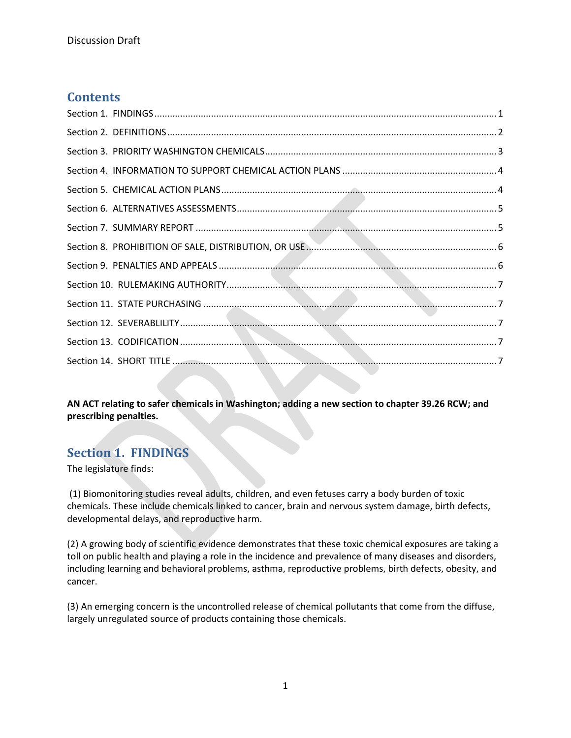#### **Contents**

**AN ACT relating to safer chemicals in Washington; adding a new section to chapter 39.26 RCW; and prescribing penalties.**

## <span id="page-0-0"></span>**Section 1. FINDINGS**

The legislature finds:

(1) Biomonitoring studies reveal adults, children, and even fetuses carry a body burden of toxic chemicals. These include chemicals linked to cancer, brain and nervous system damage, birth defects, developmental delays, and reproductive harm.

(2) A growing body of scientific evidence demonstrates that these toxic chemical exposures are taking a toll on public health and playing a role in the incidence and prevalence of many diseases and disorders, including learning and behavioral problems, asthma, reproductive problems, birth defects, obesity, and cancer.

(3) An emerging concern is the uncontrolled release of chemical pollutants that come from the diffuse, largely unregulated source of products containing those chemicals.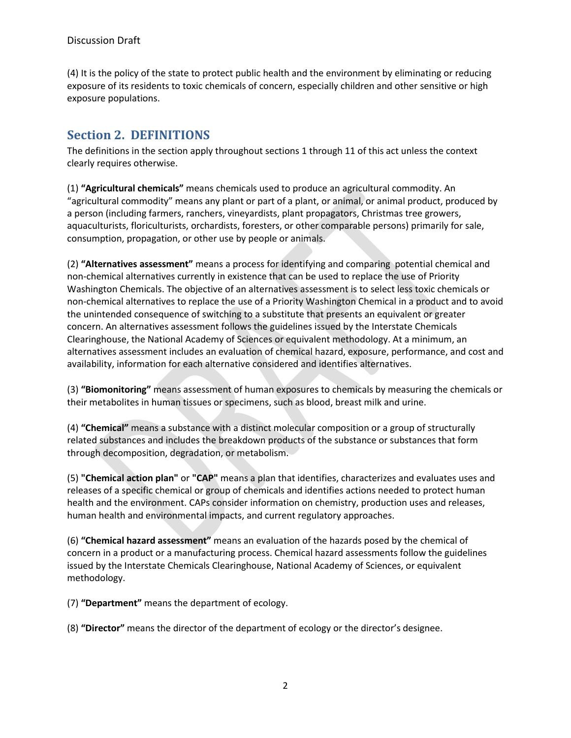(4) It is the policy of the state to protect public health and the environment by eliminating or reducing exposure of its residents to toxic chemicals of concern, especially children and other sensitive or high exposure populations.

# <span id="page-1-0"></span>**Section 2. DEFINITIONS**

The definitions in the section apply throughout sections 1 through 11 of this act unless the context clearly requires otherwise.

(1) **"Agricultural chemicals"** means chemicals used to produce an agricultural commodity. An "agricultural commodity" means any plant or part of a plant, or animal, or animal product, produced by a person (including farmers, ranchers, vineyardists, plant propagators, Christmas tree growers, aquaculturists, floriculturists, orchardists, foresters, or other comparable persons) primarily for sale, consumption, propagation, or other use by people or animals.

(2) **"Alternatives assessment"** means a process for identifying and comparing potential chemical and non-chemical alternatives currently in existence that can be used to replace the use of Priority Washington Chemicals. The objective of an alternatives assessment is to select less toxic chemicals or non-chemical alternatives to replace the use of a Priority Washington Chemical in a product and to avoid the unintended consequence of switching to a substitute that presents an equivalent or greater concern. An alternatives assessment follows the guidelines issued by the Interstate Chemicals Clearinghouse, the National Academy of Sciences or equivalent methodology. At a minimum, an alternatives assessment includes an evaluation of chemical hazard, exposure, performance, and cost and availability, information for each alternative considered and identifies alternatives.

(3) **"Biomonitoring"** means assessment of human exposures to chemicals by measuring the chemicals or their metabolites in human tissues or specimens, such as blood, breast milk and urine.

(4) **"Chemical"** means a substance with a distinct molecular composition or a group of structurally related substances and includes the breakdown products of the substance or substances that form through decomposition, degradation, or metabolism.

(5) **"Chemical action plan"** or **"CAP"** means a plan that identifies, characterizes and evaluates uses and releases of a specific chemical or group of chemicals and identifies actions needed to protect human health and the environment. CAPs consider information on chemistry, production uses and releases, human health and environmental impacts, and current regulatory approaches.

(6) **"Chemical hazard assessment"** means an evaluation of the hazards posed by the chemical of concern in a product or a manufacturing process. Chemical hazard assessments follow the guidelines issued by the Interstate Chemicals Clearinghouse, National Academy of Sciences, or equivalent methodology.

(7) **"Department"** means the department of ecology.

(8) **"Director"** means the director of the department of ecology or the director's designee.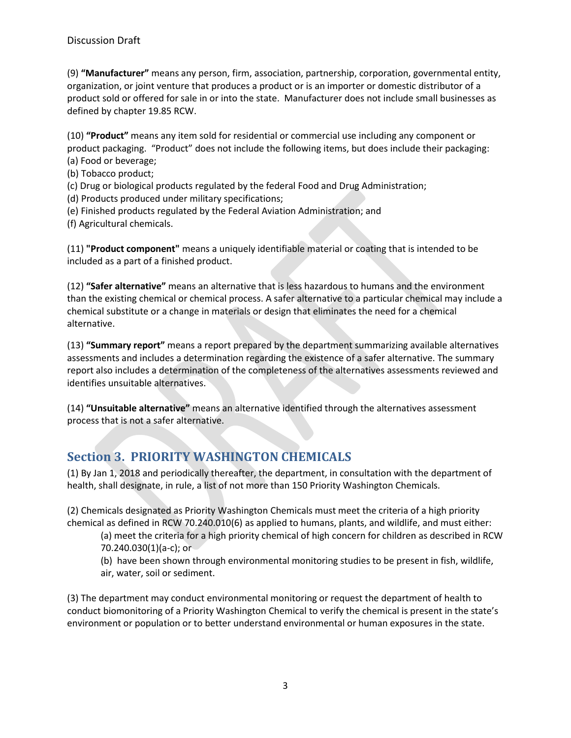(9) **"Manufacturer"** means any person, firm, association, partnership, corporation, governmental entity, organization, or joint venture that produces a product or is an importer or domestic distributor of a product sold or offered for sale in or into the state. Manufacturer does not include small businesses as defined by chapter 19.85 RCW.

(10) **"Product"** means any item sold for residential or commercial use including any component or product packaging. "Product" does not include the following items, but does include their packaging: (a) Food or beverage;

(b) Tobacco product;

(c) Drug or biological products regulated by the federal Food and Drug Administration;

(d) Products produced under military specifications;

(e) Finished products regulated by the Federal Aviation Administration; and

(f) Agricultural chemicals.

(11) **"Product component"** means a uniquely identifiable material or coating that is intended to be included as a part of a finished product.

(12) **"Safer alternative"** means an alternative that is less hazardous to humans and the environment than the existing chemical or chemical process. A safer alternative to a particular chemical may include a chemical substitute or a change in materials or design that eliminates the need for a chemical alternative.

(13) **"Summary report"** means a report prepared by the department summarizing available alternatives assessments and includes a determination regarding the existence of a safer alternative. The summary report also includes a determination of the completeness of the alternatives assessments reviewed and identifies unsuitable alternatives.

(14) **"Unsuitable alternative"** means an alternative identified through the alternatives assessment process that is not a safer alternative.

# <span id="page-2-0"></span>**Section 3. PRIORITY WASHINGTON CHEMICALS**

(1) By Jan 1, 2018 and periodically thereafter, the department, in consultation with the department of health, shall designate, in rule, a list of not more than 150 Priority Washington Chemicals.

(2) Chemicals designated as Priority Washington Chemicals must meet the criteria of a high priority chemical as defined in RCW 70.240.010(6) as applied to humans, plants, and wildlife, and must either:

(a) meet the criteria for a high priority chemical of high concern for children as described in RCW 70.240.030(1)(a-c); or

(b) have been shown through environmental monitoring studies to be present in fish, wildlife, air, water, soil or sediment.

(3) The department may conduct environmental monitoring or request the department of health to conduct biomonitoring of a Priority Washington Chemical to verify the chemical is present in the state's environment or population or to better understand environmental or human exposures in the state.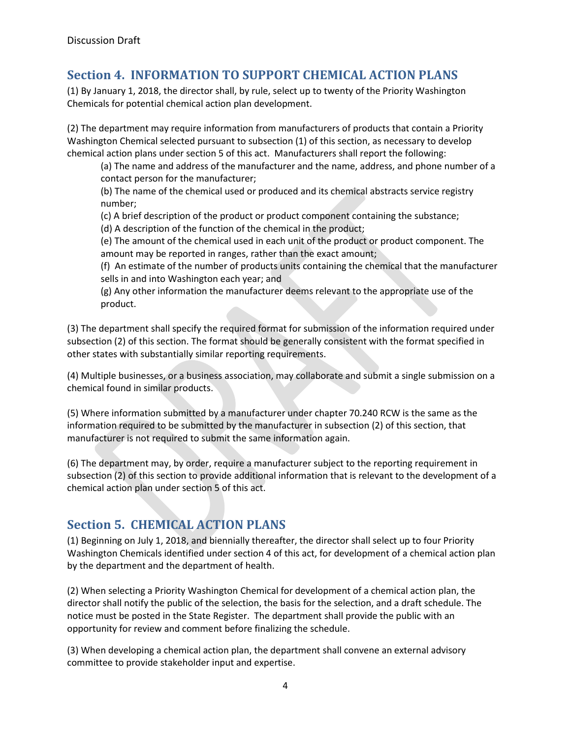## <span id="page-3-0"></span>**Section 4. INFORMATION TO SUPPORT CHEMICAL ACTION PLANS**

(1) By January 1, 2018, the director shall, by rule, select up to twenty of the Priority Washington Chemicals for potential chemical action plan development.

(2) The department may require information from manufacturers of products that contain a Priority Washington Chemical selected pursuant to subsection (1) of this section, as necessary to develop chemical action plans under section 5 of this act. Manufacturers shall report the following:

(a) The name and address of the manufacturer and the name, address, and phone number of a contact person for the manufacturer;

(b) The name of the chemical used or produced and its chemical abstracts service registry number;

(c) A brief description of the product or product component containing the substance;

(d) A description of the function of the chemical in the product;

(e) The amount of the chemical used in each unit of the product or product component. The amount may be reported in ranges, rather than the exact amount;

(f) An estimate of the number of products units containing the chemical that the manufacturer sells in and into Washington each year; and

(g) Any other information the manufacturer deems relevant to the appropriate use of the product.

(3) The department shall specify the required format for submission of the information required under subsection (2) of this section. The format should be generally consistent with the format specified in other states with substantially similar reporting requirements.

(4) Multiple businesses, or a business association, may collaborate and submit a single submission on a chemical found in similar products.

(5) Where information submitted by a manufacturer under chapter 70.240 RCW is the same as the information required to be submitted by the manufacturer in subsection (2) of this section, that manufacturer is not required to submit the same information again.

(6) The department may, by order, require a manufacturer subject to the reporting requirement in subsection (2) of this section to provide additional information that is relevant to the development of a chemical action plan under section 5 of this act.

# <span id="page-3-1"></span>**Section 5. CHEMICAL ACTION PLANS**

(1) Beginning on July 1, 2018, and biennially thereafter, the director shall select up to four Priority Washington Chemicals identified under section 4 of this act, for development of a chemical action plan by the department and the department of health.

(2) When selecting a Priority Washington Chemical for development of a chemical action plan, the director shall notify the public of the selection, the basis for the selection, and a draft schedule. The notice must be posted in the State Register. The department shall provide the public with an opportunity for review and comment before finalizing the schedule.

(3) When developing a chemical action plan, the department shall convene an external advisory committee to provide stakeholder input and expertise.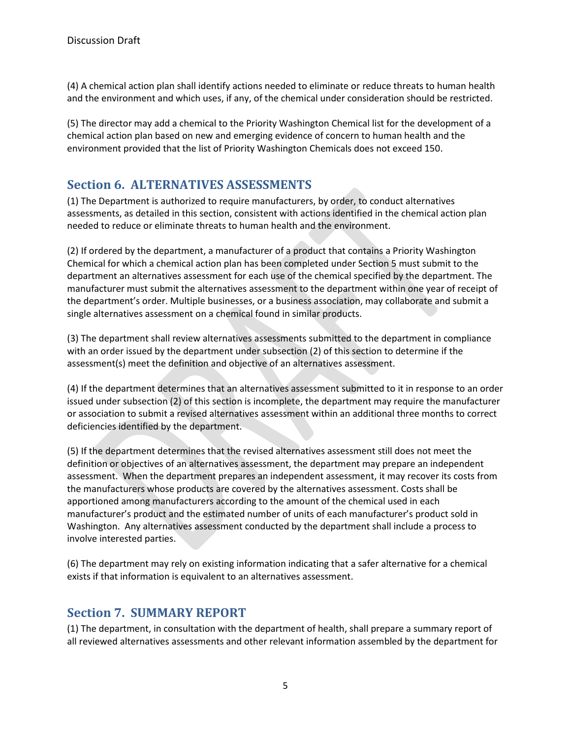(4) A chemical action plan shall identify actions needed to eliminate or reduce threats to human health and the environment and which uses, if any, of the chemical under consideration should be restricted.

(5) The director may add a chemical to the Priority Washington Chemical list for the development of a chemical action plan based on new and emerging evidence of concern to human health and the environment provided that the list of Priority Washington Chemicals does not exceed 150.

### <span id="page-4-0"></span>**Section 6. ALTERNATIVES ASSESSMENTS**

(1) The Department is authorized to require manufacturers, by order, to conduct alternatives assessments, as detailed in this section, consistent with actions identified in the chemical action plan needed to reduce or eliminate threats to human health and the environment.

(2) If ordered by the department, a manufacturer of a product that contains a Priority Washington Chemical for which a chemical action plan has been completed under Section 5 must submit to the department an alternatives assessment for each use of the chemical specified by the department. The manufacturer must submit the alternatives assessment to the department within one year of receipt of the department's order. Multiple businesses, or a business association, may collaborate and submit a single alternatives assessment on a chemical found in similar products.

(3) The department shall review alternatives assessments submitted to the department in compliance with an order issued by the department under subsection (2) of this section to determine if the assessment(s) meet the definition and objective of an alternatives assessment.

(4) If the department determines that an alternatives assessment submitted to it in response to an order issued under subsection (2) of this section is incomplete, the department may require the manufacturer or association to submit a revised alternatives assessment within an additional three months to correct deficiencies identified by the department.

(5) If the department determines that the revised alternatives assessment still does not meet the definition or objectives of an alternatives assessment, the department may prepare an independent assessment. When the department prepares an independent assessment, it may recover its costs from the manufacturers whose products are covered by the alternatives assessment. Costs shall be apportioned among manufacturers according to the amount of the chemical used in each manufacturer's product and the estimated number of units of each manufacturer's product sold in Washington. Any alternatives assessment conducted by the department shall include a process to involve interested parties.

(6) The department may rely on existing information indicating that a safer alternative for a chemical exists if that information is equivalent to an alternatives assessment.

### <span id="page-4-1"></span>**Section 7. SUMMARY REPORT**

(1) The department, in consultation with the department of health, shall prepare a summary report of all reviewed alternatives assessments and other relevant information assembled by the department for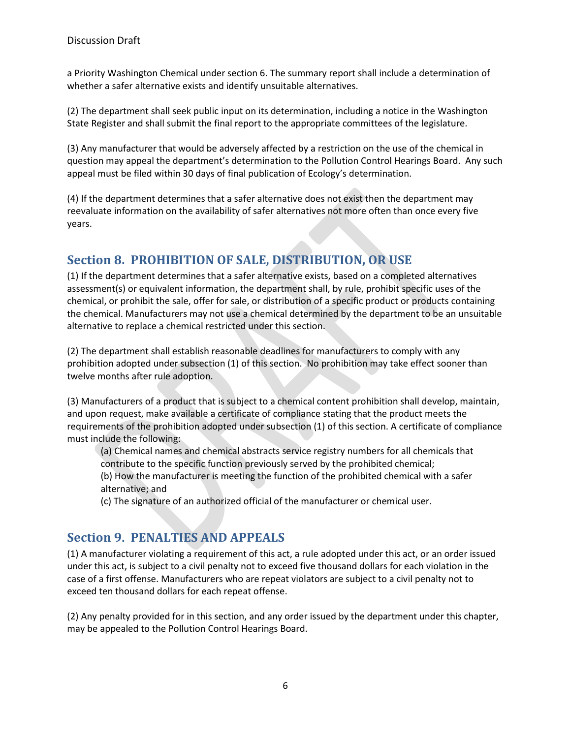a Priority Washington Chemical under section 6. The summary report shall include a determination of whether a safer alternative exists and identify unsuitable alternatives.

(2) The department shall seek public input on its determination, including a notice in the Washington State Register and shall submit the final report to the appropriate committees of the legislature.

(3) Any manufacturer that would be adversely affected by a restriction on the use of the chemical in question may appeal the department's determination to the Pollution Control Hearings Board. Any such appeal must be filed within 30 days of final publication of Ecology's determination.

(4) If the department determines that a safer alternative does not exist then the department may reevaluate information on the availability of safer alternatives not more often than once every five years.

# <span id="page-5-0"></span>**Section 8. PROHIBITION OF SALE, DISTRIBUTION, OR USE**

(1) If the department determines that a safer alternative exists, based on a completed alternatives assessment(s) or equivalent information, the department shall, by rule, prohibit specific uses of the chemical, or prohibit the sale, offer for sale, or distribution of a specific product or products containing the chemical. Manufacturers may not use a chemical determined by the department to be an unsuitable alternative to replace a chemical restricted under this section.

(2) The department shall establish reasonable deadlines for manufacturers to comply with any prohibition adopted under subsection (1) of this section. No prohibition may take effect sooner than twelve months after rule adoption.

(3) Manufacturers of a product that is subject to a chemical content prohibition shall develop, maintain, and upon request, make available a certificate of compliance stating that the product meets the requirements of the prohibition adopted under subsection (1) of this section. A certificate of compliance must include the following:

(a) Chemical names and chemical abstracts service registry numbers for all chemicals that contribute to the specific function previously served by the prohibited chemical;

(b) How the manufacturer is meeting the function of the prohibited chemical with a safer alternative; and

(c) The signature of an authorized official of the manufacturer or chemical user.

### <span id="page-5-1"></span>**Section 9. PENALTIES AND APPEALS**

(1) A manufacturer violating a requirement of this act, a rule adopted under this act, or an order issued under this act, is subject to a civil penalty not to exceed five thousand dollars for each violation in the case of a first offense. Manufacturers who are repeat violators are subject to a civil penalty not to exceed ten thousand dollars for each repeat offense.

(2) Any penalty provided for in this section, and any order issued by the department under this chapter, may be appealed to the Pollution Control Hearings Board.